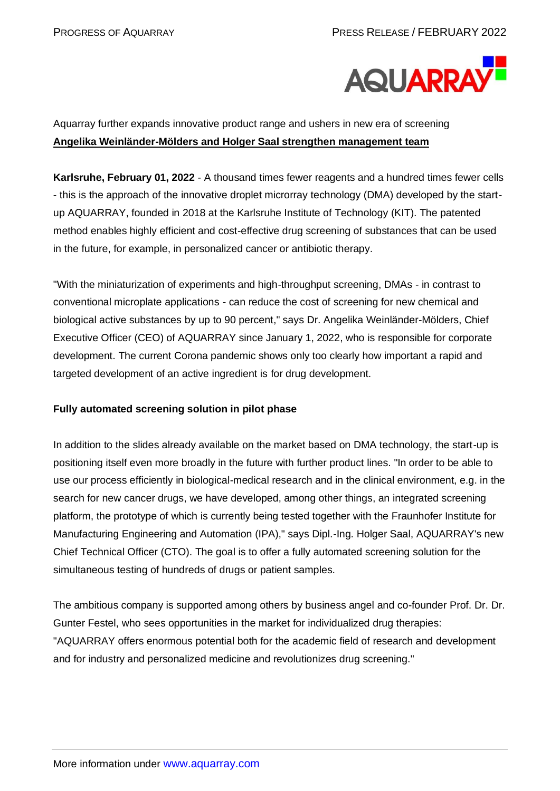

## Aquarray further expands innovative product range and ushers in new era of screening **Angelika Weinländer-Mölders and Holger Saal strengthen management team**

**Karlsruhe, February 01, 2022** - A thousand times fewer reagents and a hundred times fewer cells - this is the approach of the innovative droplet microrray technology (DMA) developed by the startup AQUARRAY, founded in 2018 at the Karlsruhe Institute of Technology (KIT). The patented method enables highly efficient and cost-effective drug screening of substances that can be used in the future, for example, in personalized cancer or antibiotic therapy.

"With the miniaturization of experiments and high-throughput screening, DMAs - in contrast to conventional microplate applications - can reduce the cost of screening for new chemical and biological active substances by up to 90 percent," says Dr. Angelika Weinländer-Mölders, Chief Executive Officer (CEO) of AQUARRAY since January 1, 2022, who is responsible for corporate development. The current Corona pandemic shows only too clearly how important a rapid and targeted development of an active ingredient is for drug development.

## **Fully automated screening solution in pilot phase**

In addition to the slides already available on the market based on DMA technology, the start-up is positioning itself even more broadly in the future with further product lines. "In order to be able to use our process efficiently in biological-medical research and in the clinical environment, e.g. in the search for new cancer drugs, we have developed, among other things, an integrated screening platform, the prototype of which is currently being tested together with the Fraunhofer Institute for Manufacturing Engineering and Automation (IPA)," says Dipl.-Ing. Holger Saal, AQUARRAY's new Chief Technical Officer (CTO). The goal is to offer a fully automated screening solution for the simultaneous testing of hundreds of drugs or patient samples.

The ambitious company is supported among others by business angel and co-founder Prof. Dr. Dr. Gunter Festel, who sees opportunities in the market for individualized drug therapies: "AQUARRAY offers enormous potential both for the academic field of research and development and for industry and personalized medicine and revolutionizes drug screening."